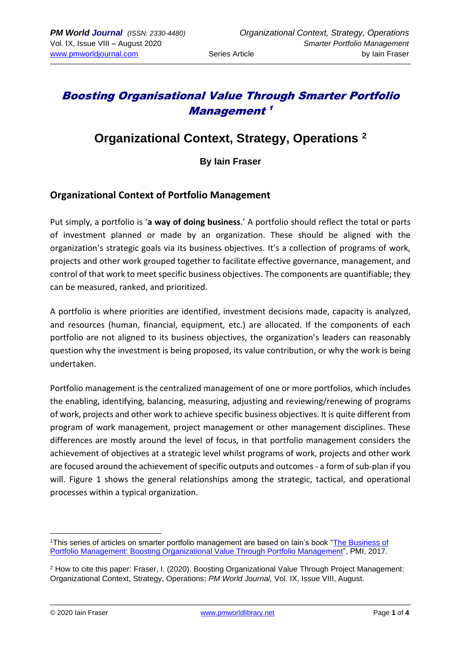# Boosting Organisational Value Through Smarter Portfolio Management 1

# **Organizational Context, Strategy, Operations <sup>2</sup>**

### **By Iain Fraser**

### **Organizational Context of Portfolio Management**

Put simply, a portfolio is '**a way of doing business**.' A portfolio should reflect the total or parts of investment planned or made by an organization. These should be aligned with the organization's strategic goals via its business objectives. It's a collection of programs of work, projects and other work grouped together to facilitate effective governance, management, and control of that work to meet specific business objectives. The components are quantifiable; they can be measured, ranked, and prioritized.

A portfolio is where priorities are identified, investment decisions made, capacity is analyzed, and resources (human, financial, equipment, etc.) are allocated. If the components of each portfolio are not aligned to its business objectives, the organization's leaders can reasonably question why the investment is being proposed, its value contribution, or why the work is being undertaken.

Portfolio management is the centralized management of one or more portfolios, which includes the enabling, identifying, balancing, measuring, adjusting and reviewing/renewing of programs of work, projects and other work to achieve specific business objectives. It is quite different from program of work management, project management or other management disciplines. These differences are mostly around the level of focus, in that portfolio management considers the achievement of objectives at a strategic level whilst programs of work, projects and other work are focused around the achievement of specific outputs and outcomes - a form of sub-plan if you will. Figure 1 shows the general relationships among the strategic, tactical, and operational processes within a typical organization.

<sup>1</sup>This series of articles on smarter portfolio management are based on Iain's book ["The Business of](https://www.amazon.com/Business-Portfolio-Management-Iain-Fraser/dp/162825372X)  [Portfolio Management: Boosting Organizational Value Through Portfolio Management"](https://www.amazon.com/Business-Portfolio-Management-Iain-Fraser/dp/162825372X), PMI, 2017.

<sup>2</sup> How to cite this paper: Fraser, I. (2020). Boosting Organizational Value Through Project Management: Organizational Context, Strategy, Operations; *PM World Journal,* Vol. IX, Issue VIII, August.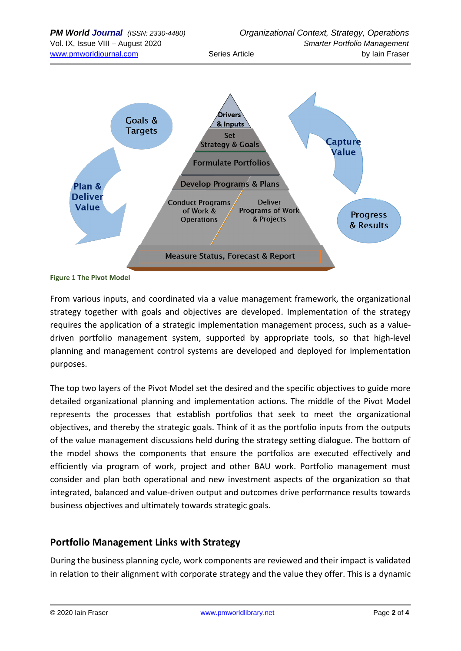

#### **Figure 1 The Pivot Model**

From various inputs, and coordinated via a value management framework, the organizational strategy together with goals and objectives are developed. Implementation of the strategy requires the application of a strategic implementation management process, such as a valuedriven portfolio management system, supported by appropriate tools, so that high-level planning and management control systems are developed and deployed for implementation purposes.

The top two layers of the Pivot Model set the desired and the specific objectives to guide more detailed organizational planning and implementation actions. The middle of the Pivot Model represents the processes that establish portfolios that seek to meet the organizational objectives, and thereby the strategic goals. Think of it as the portfolio inputs from the outputs of the value management discussions held during the strategy setting dialogue. The bottom of the model shows the components that ensure the portfolios are executed effectively and efficiently via program of work, project and other BAU work. Portfolio management must consider and plan both operational and new investment aspects of the organization so that integrated, balanced and value-driven output and outcomes drive performance results towards business objectives and ultimately towards strategic goals.

## **Portfolio Management Links with Strategy**

During the business planning cycle, work components are reviewed and their impact is validated in relation to their alignment with corporate strategy and the value they offer. This is a dynamic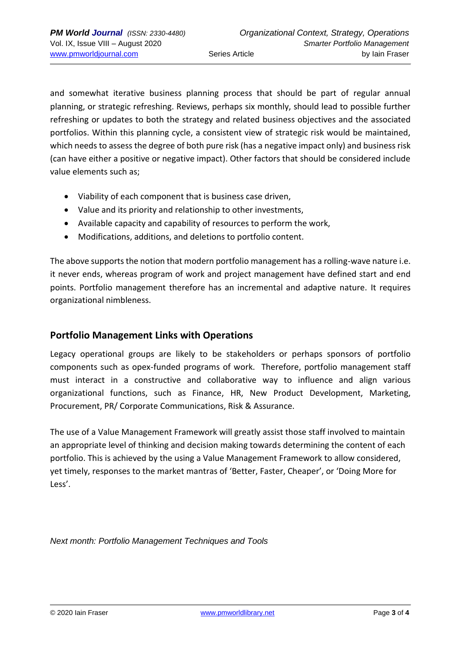and somewhat iterative business planning process that should be part of regular annual planning, or strategic refreshing. Reviews, perhaps six monthly, should lead to possible further refreshing or updates to both the strategy and related business objectives and the associated portfolios. Within this planning cycle, a consistent view of strategic risk would be maintained, which needs to assess the degree of both pure risk (has a negative impact only) and business risk (can have either a positive or negative impact). Other factors that should be considered include value elements such as;

- Viability of each component that is business case driven,
- Value and its priority and relationship to other investments,
- Available capacity and capability of resources to perform the work,
- Modifications, additions, and deletions to portfolio content.

The above supports the notion that modern portfolio management has a rolling-wave nature i.e. it never ends, whereas program of work and project management have defined start and end points. Portfolio management therefore has an incremental and adaptive nature. It requires organizational nimbleness.

## **Portfolio Management Links with Operations**

Legacy operational groups are likely to be stakeholders or perhaps sponsors of portfolio components such as opex-funded programs of work. Therefore, portfolio management staff must interact in a constructive and collaborative way to influence and align various organizational functions, such as Finance, HR, New Product Development, Marketing, Procurement, PR/ Corporate Communications, Risk & Assurance.

The use of a Value Management Framework will greatly assist those staff involved to maintain an appropriate level of thinking and decision making towards determining the content of each portfolio. This is achieved by the using a Value Management Framework to allow considered, yet timely, responses to the market mantras of 'Better, Faster, Cheaper', or 'Doing More for Less'.

*Next month: Portfolio Management Techniques and Tools*